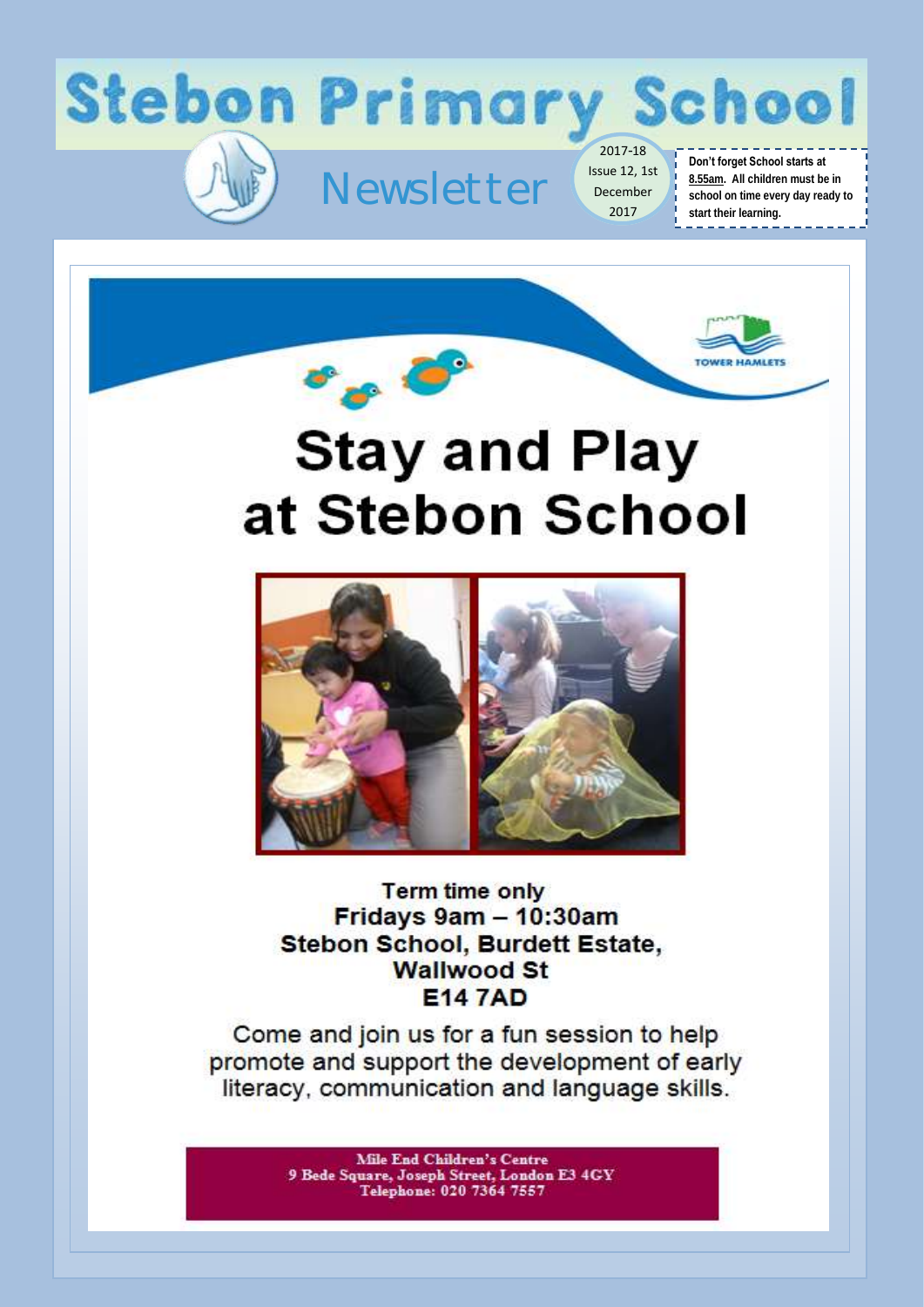



## **Stay and Play** at Stebon School



**Term time only** Fridays 9am - 10:30am Stebon School, Burdett Estate. **Wallwood St E147AD** 

Come and join us for a fun session to help promote and support the development of early literacy, communication and language skills.

> **Mile End Children's Centre** 9 Bede Square, Joseph Street, London E3 4GY Telephone: 020 7364 7557